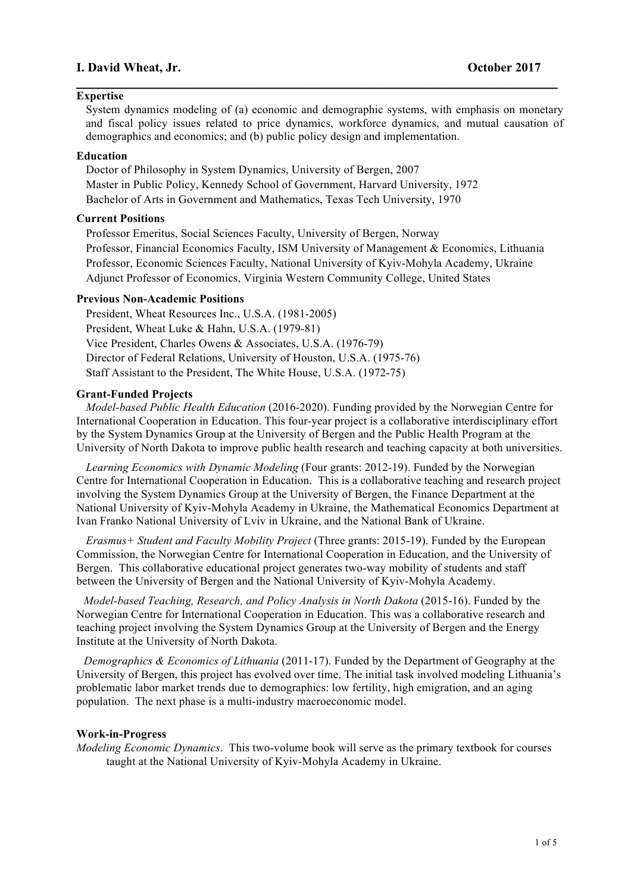# **I. David Wheat, Jr. October 2017**

### **Expertise**

System dynamics modeling of (a) economic and demographic systems, with emphasis on monetary and fiscal policy issues related to price dynamics, workforce dynamics, and mutual causation of demographics and economics; and (b) public policy design and implementation.

**\_\_\_\_\_\_\_\_\_\_\_\_\_\_\_\_\_\_\_\_\_\_\_\_\_\_\_\_\_\_\_\_\_\_\_\_\_\_\_\_\_\_\_\_\_\_\_\_\_\_\_\_\_\_\_\_\_\_\_\_\_\_\_\_\_\_\_\_**

## **Education**

Doctor of Philosophy in System Dynamics, University of Bergen, 2007 Master in Public Policy, Kennedy School of Government, Harvard University, 1972 Bachelor of Arts in Government and Mathematics, Texas Tech University, 1970

## **Current Positions**

Professor Emeritus, Social Sciences Faculty, University of Bergen, Norway Professor, Financial Economics Faculty, ISM University of Management & Economics, Lithuania Professor, Economic Sciences Faculty, National University of Kyiv-Mohyla Academy, Ukraine Adjunct Professor of Economics, Virginia Western Community College, United States

## **Previous Non-Academic Positions**

President, Wheat Resources Inc., U.S.A. (1981-2005) President, Wheat Luke & Hahn, U.S.A. (1979-81) Vice President, Charles Owens & Associates, U.S.A. (1976-79) Director of Federal Relations, University of Houston, U.S.A. (1975-76) Staff Assistant to the President, The White House, U.S.A. (1972-75)

#### **Grant-Funded Projects**

*Model-based Public Health Education* (2016-2020). Funding provided by the Norwegian Centre for International Cooperation in Education. This four-year project is a collaborative interdisciplinary effort by the System Dynamics Group at the University of Bergen and the Public Health Program at the University of North Dakota to improve public health research and teaching capacity at both universities.

*Learning Economics with Dynamic Modeling* (Four grants: 2012-19). Funded by the Norwegian Centre for International Cooperation in Education. This is a collaborative teaching and research project involving the System Dynamics Group at the University of Bergen, the Finance Department at the National University of Kyiv-Mohyla Academy in Ukraine, the Mathematical Economics Department at Ivan Franko National University of Lviv in Ukraine, and the National Bank of Ukraine.

*Erasmus+ Student and Faculty Mobility Project* (Three grants: 2015-19). Funded by the European Commission, the Norwegian Centre for International Cooperation in Education, and the University of Bergen. This collaborative educational project generates two-way mobility of students and staff between the University of Bergen and the National University of Kyiv-Mohyla Academy.

*Model-based Teaching, Research, and Policy Analysis in North Dakota* (2015-16). Funded by the Norwegian Centre for International Cooperation in Education. This was a collaborative research and teaching project involving the System Dynamics Group at the University of Bergen and the Energy Institute at the University of North Dakota.

*Demographics & Economics of Lithuania* (2011-17). Funded by the Department of Geography at the University of Bergen, this project has evolved over time. The initial task involved modeling Lithuania's problematic labor market trends due to demographics: low fertility, high emigration, and an aging population. The next phase is a multi-industry macroeconomic model.

### **Work-in-Progress**

*Modeling Economic Dynamics*. This two-volume book will serve as the primary textbook for courses taught at the National University of Kyiv-Mohyla Academy in Ukraine.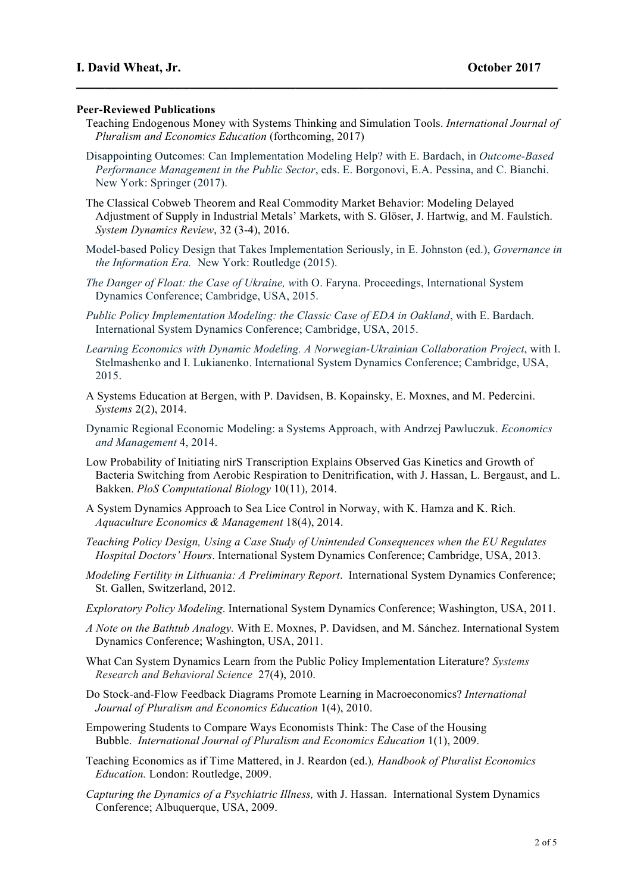## **Peer-Reviewed Publications**

Teaching Endogenous Money with Systems Thinking and Simulation Tools. *International Journal of Pluralism and Economics Education* (forthcoming, 2017)

**\_\_\_\_\_\_\_\_\_\_\_\_\_\_\_\_\_\_\_\_\_\_\_\_\_\_\_\_\_\_\_\_\_\_\_\_\_\_\_\_\_\_\_\_\_\_\_\_\_\_\_\_\_\_\_\_\_\_\_\_\_\_\_\_\_\_\_\_**

- Disappointing Outcomes: Can Implementation Modeling Help? with E. Bardach, in *Outcome-Based Performance Management in the Public Sector*, eds. E. Borgonovi, E.A. Pessina, and C. Bianchi. New York: Springer (2017).
- The Classical Cobweb Theorem and Real Commodity Market Behavior: Modeling Delayed Adjustment of Supply in Industrial Metals' Markets, with S. Glöser, J. Hartwig, and M. Faulstich. *System Dynamics Review*, 32 (3-4), 2016.
- Model-based Policy Design that Takes Implementation Seriously, in E. Johnston (ed.), *Governance in the Information Era.* New York: Routledge (2015).
- *The Danger of Float: the Case of Ukraine, w*ith O. Faryna. Proceedings, International System Dynamics Conference; Cambridge, USA, 2015.
- *Public Policy Implementation Modeling: the Classic Case of EDA in Oakland*, with E. Bardach. International System Dynamics Conference; Cambridge, USA, 2015.
- *Learning Economics with Dynamic Modeling. A Norwegian-Ukrainian Collaboration Project*, with I. Stelmashenko and I. Lukianenko. International System Dynamics Conference; Cambridge, USA, 2015.
- A Systems Education at Bergen, with P. Davidsen, B. Kopainsky, E. Moxnes, and M. Pedercini. *Systems* 2(2), 2014.
- Dynamic Regional Economic Modeling: a Systems Approach, with Andrzej Pawluczuk. *Economics and Management* 4, 2014.
- Low Probability of Initiating nirS Transcription Explains Observed Gas Kinetics and Growth of Bacteria Switching from Aerobic Respiration to Denitrification, with J. Hassan, L. Bergaust, and L. Bakken. *PloS Computational Biology* 10(11), 2014.
- A System Dynamics Approach to Sea Lice Control in Norway, with K. Hamza and K. Rich. *Aquaculture Economics & Management* 18(4), 2014.
- *Teaching Policy Design, Using a Case Study of Unintended Consequences when the EU Regulates Hospital Doctors' Hours*. International System Dynamics Conference; Cambridge, USA, 2013.
- *Modeling Fertility in Lithuania: A Preliminary Report*. International System Dynamics Conference; St. Gallen, Switzerland, 2012.
- *Exploratory Policy Modeling*. International System Dynamics Conference; Washington, USA, 2011.
- *A Note on the Bathtub Analogy.* With E. Moxnes, P. Davidsen, and M. Sánchez. International System Dynamics Conference; Washington, USA, 2011.
- What Can System Dynamics Learn from the Public Policy Implementation Literature? *Systems Research and Behavioral Science* 27(4), 2010.
- Do Stock-and-Flow Feedback Diagrams Promote Learning in Macroeconomics? *International Journal of Pluralism and Economics Education* 1(4), 2010.
- Empowering Students to Compare Ways Economists Think: The Case of the Housing Bubble. *International Journal of Pluralism and Economics Education* 1(1), 2009.
- Teaching Economics as if Time Mattered, in J. Reardon (ed.)*, Handbook of Pluralist Economics Education.* London: Routledge, 2009.
- *Capturing the Dynamics of a Psychiatric Illness,* with J. Hassan. International System Dynamics Conference; Albuquerque, USA, 2009.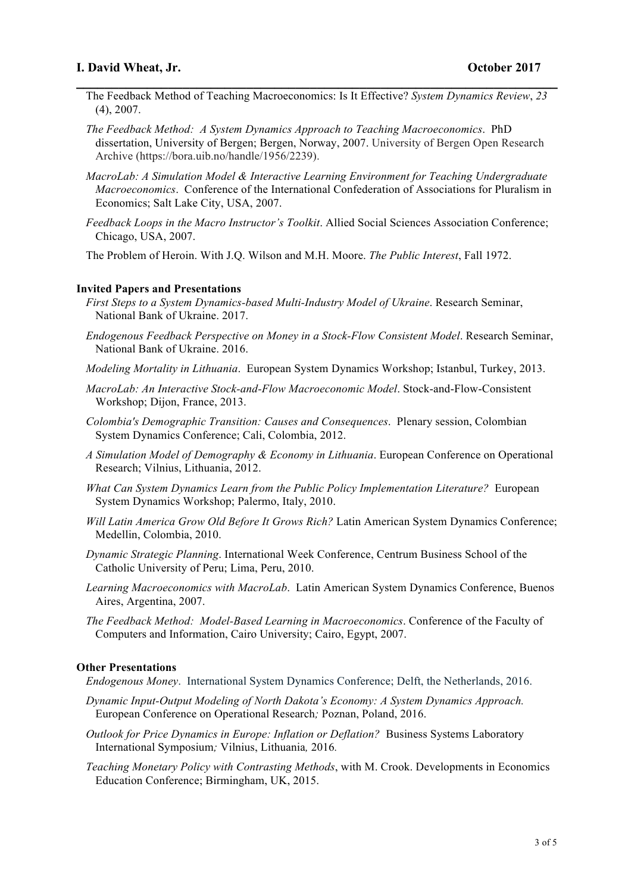# **I. David Wheat, Jr. October 2017**

- **\_\_\_\_\_\_\_\_\_\_\_\_\_\_\_\_\_\_\_\_\_\_\_\_\_\_\_\_\_\_\_\_\_\_\_\_\_\_\_\_\_\_\_\_\_\_\_\_\_\_\_\_\_\_\_\_\_\_\_\_\_\_\_\_\_\_\_\_** The Feedback Method of Teaching Macroeconomics: Is It Effective? *System Dynamics Review*, *23* (4), 2007.
	- *The Feedback Method: A System Dynamics Approach to Teaching Macroeconomics*. PhD dissertation, University of Bergen; Bergen, Norway, 2007. University of Bergen Open Research Archive (https://bora.uib.no/handle/1956/2239).
	- *MacroLab: A Simulation Model & Interactive Learning Environment for Teaching Undergraduate Macroeconomics*. Conference of the International Confederation of Associations for Pluralism in Economics; Salt Lake City, USA, 2007.
	- *Feedback Loops in the Macro Instructor's Toolkit*. Allied Social Sciences Association Conference; Chicago, USA, 2007.

The Problem of Heroin. With J.Q. Wilson and M.H. Moore. *The Public Interest*, Fall 1972.

#### **Invited Papers and Presentations**

- *First Steps to a System Dynamics-based Multi-Industry Model of Ukraine*. Research Seminar, National Bank of Ukraine. 2017.
- *Endogenous Feedback Perspective on Money in a Stock-Flow Consistent Model*. Research Seminar, National Bank of Ukraine. 2016.
- *Modeling Mortality in Lithuania*. European System Dynamics Workshop; Istanbul, Turkey, 2013.
- *MacroLab: An Interactive Stock-and-Flow Macroeconomic Model*. Stock-and-Flow-Consistent Workshop; Dijon, France, 2013.
- *Colombia's Demographic Transition: Causes and Consequences*. Plenary session, Colombian System Dynamics Conference; Cali, Colombia, 2012.
- *A Simulation Model of Demography & Economy in Lithuania*. European Conference on Operational Research; Vilnius, Lithuania, 2012.
- *What Can System Dynamics Learn from the Public Policy Implementation Literature?* European System Dynamics Workshop; Palermo, Italy, 2010.
- *Will Latin America Grow Old Before It Grows Rich?* Latin American System Dynamics Conference; Medellin, Colombia, 2010.
- *Dynamic Strategic Planning*. International Week Conference, Centrum Business School of the Catholic University of Peru; Lima, Peru, 2010.
- *Learning Macroeconomics with MacroLab*. Latin American System Dynamics Conference, Buenos Aires, Argentina, 2007.
- *The Feedback Method: Model-Based Learning in Macroeconomics*. Conference of the Faculty of Computers and Information, Cairo University; Cairo, Egypt, 2007.

## **Other Presentations**

*Endogenous Money*. International System Dynamics Conference; Delft, the Netherlands, 2016.

- *Dynamic Input-Output Modeling of North Dakota's Economy: A System Dynamics Approach.*  European Conference on Operational Research*;* Poznan, Poland, 2016.
- *Outlook for Price Dynamics in Europe: Inflation or Deflation?* Business Systems Laboratory International Symposium*;* Vilnius, Lithuania*,* 2016*.*
- *Teaching Monetary Policy with Contrasting Methods*, with M. Crook. Developments in Economics Education Conference; Birmingham, UK, 2015.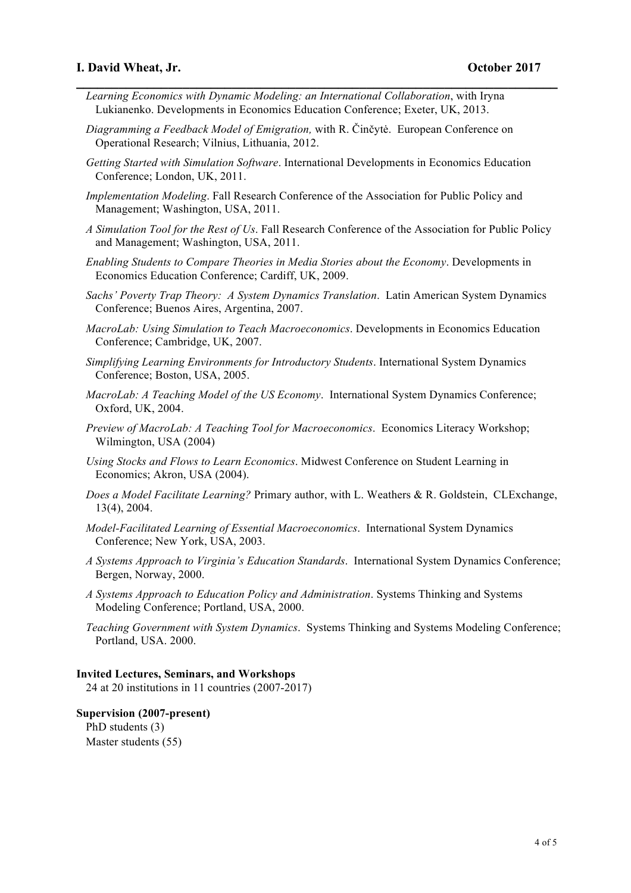- *Learning Economics with Dynamic Modeling: an International Collaboration*, with Iryna Lukianenko. Developments in Economics Education Conference; Exeter, UK, 2013.
- *Diagramming a Feedback Model of Emigration,* with R. Činčytė. European Conference on Operational Research; Vilnius, Lithuania, 2012.
- *Getting Started with Simulation Software*. International Developments in Economics Education Conference; London, UK, 2011.

**\_\_\_\_\_\_\_\_\_\_\_\_\_\_\_\_\_\_\_\_\_\_\_\_\_\_\_\_\_\_\_\_\_\_\_\_\_\_\_\_\_\_\_\_\_\_\_\_\_\_\_\_\_\_\_\_\_\_\_\_\_\_\_\_\_\_\_\_**

- *Implementation Modeling*. Fall Research Conference of the Association for Public Policy and Management; Washington, USA, 2011.
- *A Simulation Tool for the Rest of Us*. Fall Research Conference of the Association for Public Policy and Management; Washington, USA, 2011.
- *Enabling Students to Compare Theories in Media Stories about the Economy*. Developments in Economics Education Conference; Cardiff, UK, 2009.
- *Sachs' Poverty Trap Theory: A System Dynamics Translation*. Latin American System Dynamics Conference; Buenos Aires, Argentina, 2007.
- *MacroLab: Using Simulation to Teach Macroeconomics*. Developments in Economics Education Conference; Cambridge, UK, 2007.
- *Simplifying Learning Environments for Introductory Students*. International System Dynamics Conference; Boston, USA, 2005.
- *MacroLab: A Teaching Model of the US Economy*. International System Dynamics Conference; Oxford, UK, 2004.
- *Preview of MacroLab: A Teaching Tool for Macroeconomics*. Economics Literacy Workshop; Wilmington, USA (2004)
- *Using Stocks and Flows to Learn Economics*. Midwest Conference on Student Learning in Economics; Akron, USA (2004).
- *Does a Model Facilitate Learning?* Primary author, with L. Weathers & R. Goldstein, CLExchange, 13(4), 2004.
- *Model-Facilitated Learning of Essential Macroeconomics*. International System Dynamics Conference; New York, USA, 2003.
- *A Systems Approach to Virginia's Education Standards*. International System Dynamics Conference; Bergen, Norway, 2000.
- *A Systems Approach to Education Policy and Administration*. Systems Thinking and Systems Modeling Conference; Portland, USA, 2000.
- *Teaching Government with System Dynamics*. Systems Thinking and Systems Modeling Conference; Portland, USA. 2000.

## **Invited Lectures, Seminars, and Workshops**

24 at 20 institutions in 11 countries (2007-2017)

## **Supervision (2007-present)**

PhD students (3) Master students (55)